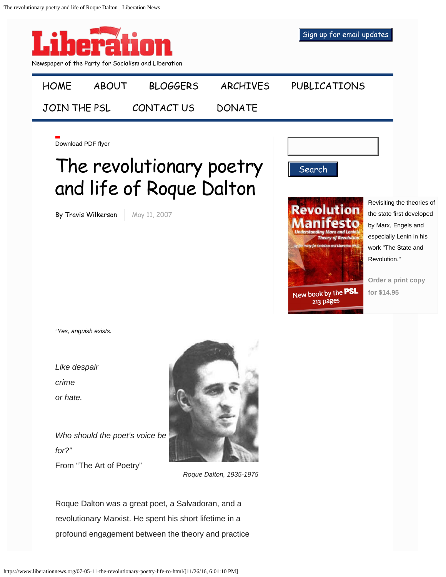

Roque Dalton was a great poet, a Salvadoran, and a revolutionary Marxist. He spent his short lifetime in a profound engagement between the theory and practice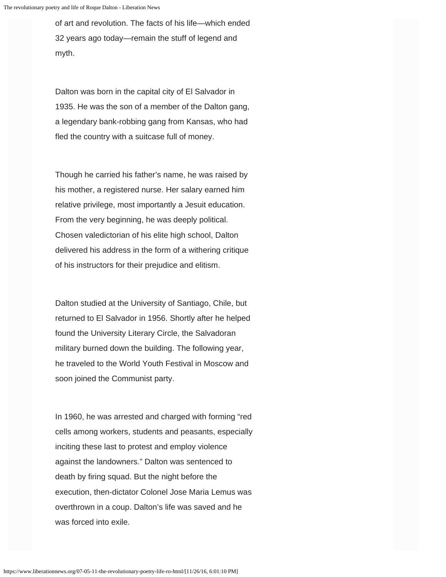of art and revolution. The facts of his life—which ended 32 years ago today—remain the stuff of legend and myth.

Dalton was born in the capital city of El Salvador in 1935. He was the son of a member of the Dalton gang, a legendary bank-robbing gang from Kansas, who had fled the country with a suitcase full of money.

Though he carried his father's name, he was raised by his mother, a registered nurse. Her salary earned him relative privilege, most importantly a Jesuit education. From the very beginning, he was deeply political. Chosen valedictorian of his elite high school, Dalton delivered his address in the form of a withering critique of his instructors for their prejudice and elitism.

Dalton studied at the University of Santiago, Chile, but returned to El Salvador in 1956. Shortly after he helped found the University Literary Circle, the Salvadoran military burned down the building. The following year, he traveled to the World Youth Festival in Moscow and soon joined the Communist party.

In 1960, he was arrested and charged with forming "red cells among workers, students and peasants, especially inciting these last to protest and employ violence against the landowners." Dalton was sentenced to death by firing squad. But the night before the execution, then-dictator Colonel Jose Maria Lemus was overthrown in a coup. Dalton's life was saved and he was forced into exile.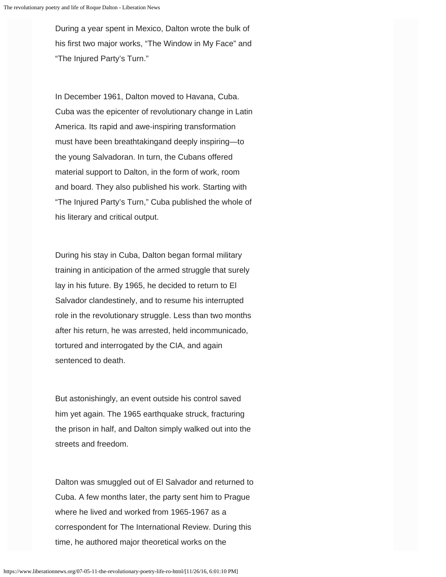During a year spent in Mexico, Dalton wrote the bulk of his first two major works, "The Window in My Face" and "The Injured Party's Turn."

In December 1961, Dalton moved to Havana, Cuba. Cuba was the epicenter of revolutionary change in Latin America. Its rapid and awe-inspiring transformation must have been breathtakingand deeply inspiring—to the young Salvadoran. In turn, the Cubans offered material support to Dalton, in the form of work, room and board. They also published his work. Starting with "The Injured Party's Turn," Cuba published the whole of his literary and critical output.

During his stay in Cuba, Dalton began formal military training in anticipation of the armed struggle that surely lay in his future. By 1965, he decided to return to El Salvador clandestinely, and to resume his interrupted role in the revolutionary struggle. Less than two months after his return, he was arrested, held incommunicado, tortured and interrogated by the CIA, and again sentenced to death.

But astonishingly, an event outside his control saved him yet again. The 1965 earthquake struck, fracturing the prison in half, and Dalton simply walked out into the streets and freedom.

Dalton was smuggled out of El Salvador and returned to Cuba. A few months later, the party sent him to Prague where he lived and worked from 1965-1967 as a correspondent for The International Review. During this time, he authored major theoretical works on the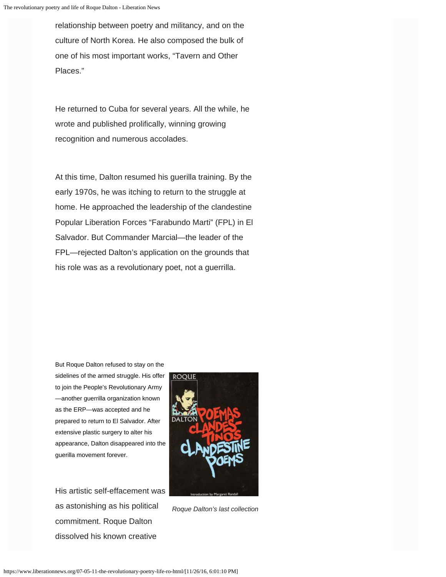relationship between poetry and militancy, and on the culture of North Korea. He also composed the bulk of one of his most important works, "Tavern and Other Places."

He returned to Cuba for several years. All the while, he wrote and published prolifically, winning growing recognition and numerous accolades.

At this time, Dalton resumed his guerilla training. By the early 1970s, he was itching to return to the struggle at home. He approached the leadership of the clandestine Popular Liberation Forces "Farabundo Marti" (FPL) in El Salvador. But Commander Marcial—the leader of the FPL—rejected Dalton's application on the grounds that his role was as a revolutionary poet, not a guerrilla.

But Roque Dalton refused to stay on the sidelines of the armed struggle. His offer to join the People's Revolutionary Army —another guerrilla organization known as the ERP—was accepted and he prepared to return to El Salvador. After extensive plastic surgery to alter his appearance, Dalton disappeared into the guerilla movement forever.

His artistic self-effacement was as astonishing as his political commitment. Roque Dalton dissolved his known creative



*Roque Dalton's last collection*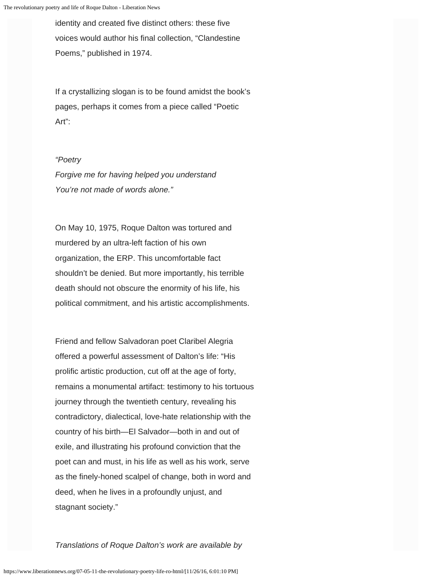identity and created five distinct others: these five voices would author his final collection, "Clandestine Poems," published in 1974.

If a crystallizing slogan is to be found amidst the book's pages, perhaps it comes from a piece called "Poetic Art":

## *"Poetry*

*Forgive me for having helped you understand You're not made of words alone."*

On May 10, 1975, Roque Dalton was tortured and murdered by an ultra-left faction of his own organization, the ERP. This uncomfortable fact shouldn't be denied. But more importantly, his terrible death should not obscure the enormity of his life, his political commitment, and his artistic accomplishments.

Friend and fellow Salvadoran poet Claribel Alegria offered a powerful assessment of Dalton's life: "His prolific artistic production, cut off at the age of forty, remains a monumental artifact: testimony to his tortuous journey through the twentieth century, revealing his contradictory, dialectical, love-hate relationship with the country of his birth—El Salvador—both in and out of exile, and illustrating his profound conviction that the poet can and must, in his life as well as his work, serve as the finely-honed scalpel of change, both in word and deed, when he lives in a profoundly unjust, and stagnant society."

*Translations of Roque Dalton's work are available by*